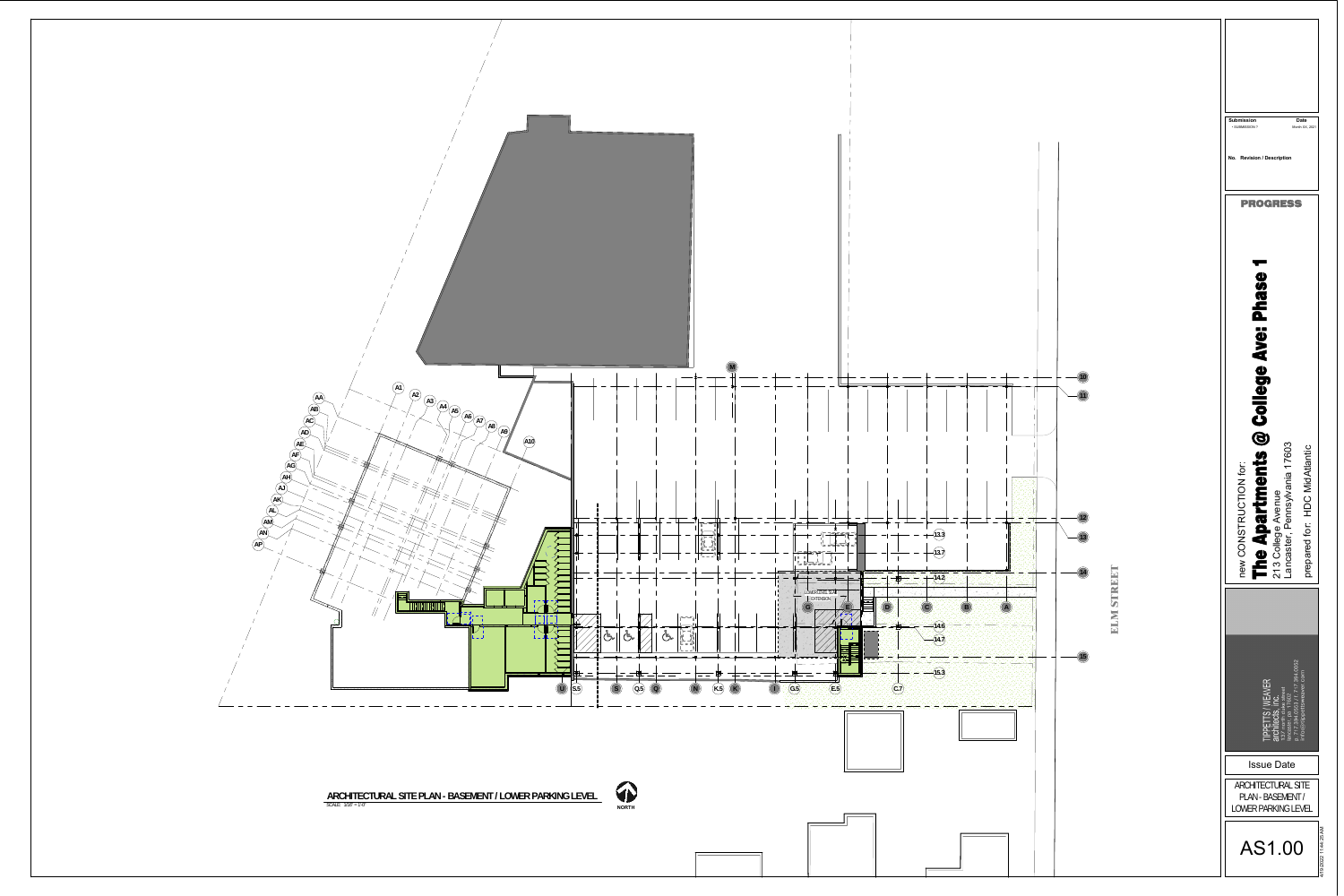